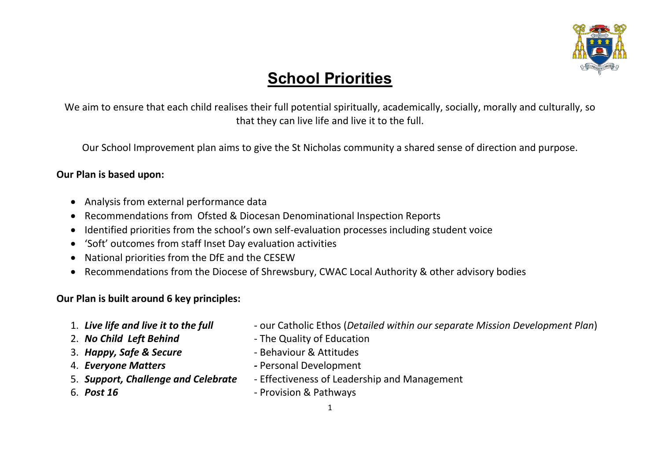

# **School Priorities**

We aim to ensure that each child realises their full potential spiritually, academically, socially, morally and culturally, so that they can live life and live it to the full.

Our School Improvement plan aims to give the St Nicholas community a shared sense of direction and purpose.

### **Our Plan is based upon:**

- Analysis from external performance data
- Recommendations from Ofsted & Diocesan Denominational Inspection Reports
- Identified priorities from the school's own self-evaluation processes including student voice
- 'Soft' outcomes from staff Inset Day evaluation activities
- National priorities from the DfE and the CESEW
- Recommendations from the Diocese of Shrewsbury, CWAC Local Authority & other advisory bodies

## **Our Plan is built around 6 key principles:**

- 
- 
- 3. **Happy, Safe & Secure** The Behaviour & Attitudes
- 
- 
- 
- 1. *Live life and live it to the full* our Catholic Ethos (*Detailed within our separate Mission Development Plan*)
- 2. **No Child Left Behind The Quality of Education** 
	-
- 4. *Everyone Matters -* Personal Development
- 5. *Support, Challenge and Celebrate* Effectiveness of Leadership and Management
- 6. *Post 16* Provision & Pathways